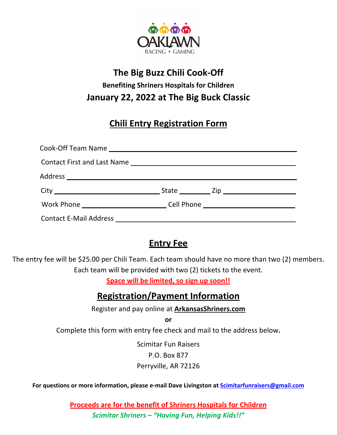

## **The Big Buzz Chili Cook-Off Benefiting Shriners Hospitals for Children January 22, 2022 at The Big Buck Classic**

## **Chili Entry Registration Form**

| Work Phone ______________________________Cell Phone ____________________________ |  |
|----------------------------------------------------------------------------------|--|
|                                                                                  |  |

## **Entry Fee**

The entry fee will be \$25.00 per Chili Team. Each team should have no more than two (2) members. Each team will be provided with two (2) tickets to the event.

**Space will be limited, so sign up soon!!**

## **Registration/Payment Information**

Register and pay online at **ArkansasShriners.com**

**or**

Complete this form with entry fee check and mail to the address below**.**

Scimitar Fun Raisers P.O. Box 877 Perryville, AR 72126

**For questions or more information, please e-mail Dave Livingston at Scimitarfunraisers@gmail.com**

**Proceeds are for the benefit of Shriners Hospitals for Children** *Scimitar Shriners – "Having Fun, Helping Kids!!"*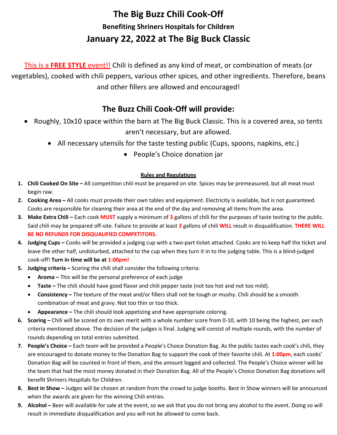# **The Big Buzz Chili Cook-Off Benefiting Shriners Hospitals for Children January 22, 2022 at The Big Buck Classic**

This is a **FREE STYLE** event!! Chili is defined as any kind of meat, or combination of meats (or vegetables), cooked with chili peppers, various other spices, and other ingredients. Therefore, beans and other fillers are allowed and encouraged!

### **The Buzz Chili Cook-Off will provide:**

- Roughly, 10x10 space within the barn at The Big Buck Classic. This is a covered area, so tents aren't necessary, but are allowed.
	- All necessary utensils for the taste testing public (Cups, spoons, napkins, etc.)
		- People's Choice donation jar

#### **Rules and Regulations**

- **1. Chili Cooked On Site –** All competition chili must be prepared on site. Spices may be premeasured, but all meat must begin raw.
- **2. Cooking Area –** All cooks must provide their own tables and equipment. Electricity is available, but is not guaranteed. Cooks are responsible for cleaning their area at the end of the day and removing all items from the area.
- **3. Make Extra Chili –** Each cook **MUST** supply a minimum of **3** gallons of chili for the purposes of taste testing to the public. Said chili may be prepared off-site. Failure to provide at least **3** gallons of chili **WILL** result in disqualification. **THERE WILL BE NO REFUNDS FOR DISQUALIFIED COMPETITORS.**
- **4. Judging Cups –** Cooks will be provided a judging cup with a two-part ticket attached. Cooks are to keep half the ticket and leave the other half, undisturbed, attached to the cup when they turn it in to the judging table. This is a blind-judged cook-off! **Turn in time will be at 1:00pm!**
- **5. Judging criteria –** Scoring the chili shall consider the following criteria:
	- **Aroma –** This will be the personal preference of each judge
	- **Taste –** The chili should have good flavor and chili pepper taste (not too hot and not too mild).
	- **Consistency –** The texture of the meat and/or fillers shall not be tough or mushy. Chili should be a smooth combination of meat and gravy. Not too thin or too thick.
	- **Appearance –** The chili should look appetizing and have appropriate coloring.
- **6. Scoring –** Chili will be scored on its own merit with a whole number score from 0-10, with 10 being the highest, per each criteria mentioned above. The decision of the judges is final. Judging will consist of multiple rounds, with the number of rounds depending on total entries submitted.
- **7. People's Choice –** Each team will be provided a People's Choice Donation Bag. As the public tastes each cook's chili, they are encouraged to donate money to the Donation Bag to support the cook of their favorite chili. At **1:00pm**, each cooks' Donation Bag will be counted in front of them, and the amount logged and collected. The People's Choice winner will be the team that had the most money donated in their Donation Bag. All of the People's Choice Donation Bag donations will benefit Shriners Hospitals for Children.
- **8. Best in Show –** Judges will be chosen at random from the crowd to judge booths. Best in Show winners will be announced when the awards are given for the winning Chili entries.
- **9. Alcohol –** Beer will available for sale at the event, so we ask that you do not bring any alcohol to the event. Doing so will result in immediate disqualification and you will not be allowed to come back.